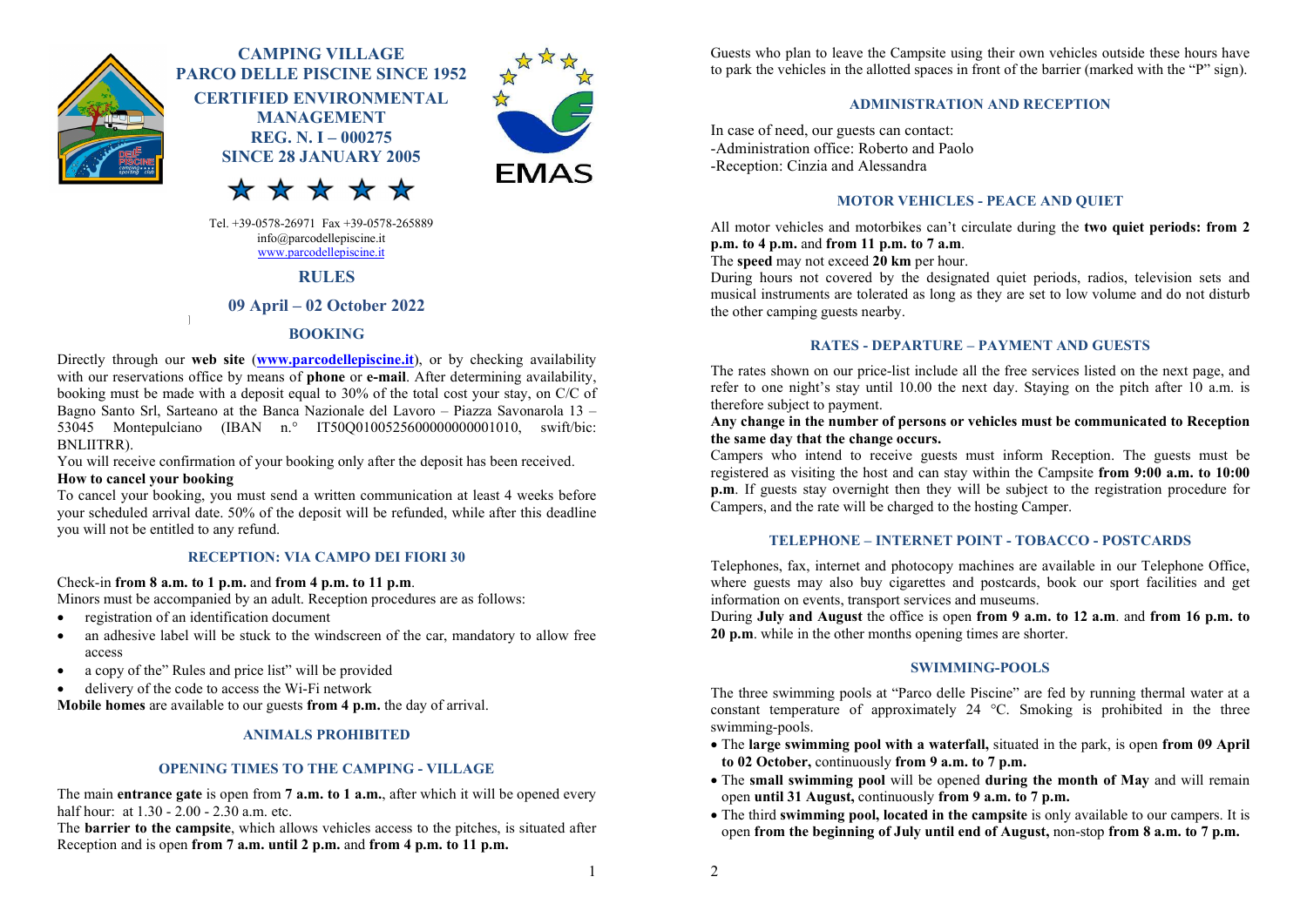

CAMPING VILLAGE PARCO DELLE PISCINE SINCE 1952 CERTIFIED ENVIRONMENTAL MANAGEMENT REG. N. I – 000275 SINCE 28 JANUARY 2005 **FMAS** 

Tel. +39-0578-26971 Fax +39-0578-265889 info@parcodellepiscine.it www.parcodellepiscine.it

# RULES

09 April – 02 October 2022

#### **BOOKING**

Directly through our web site (www.parcodellepiscine.it), or by checking availability with our reservations office by means of **phone** or **e-mail**. After determining availability, booking must be made with a deposit equal to 30% of the total cost your stay, on C/C of Bagno Santo Srl, Sarteano at the Banca Nazionale del Lavoro – Piazza Savonarola 13 – 53045 Montepulciano (IBAN n.° IT50Q0100525600000000001010, swift/bic: BNLIITRR).

You will receive confirmation of your booking only after the deposit has been received.

# How to cancel your booking

To cancel your booking, you must send a written communication at least 4 weeks before your scheduled arrival date. 50% of the deposit will be refunded, while after this deadline you will not be entitled to any refund.

## RECEPTION: VIA CAMPO DEI FIORI 30

#### Check-in from 8 a.m. to 1 p.m. and from 4 p.m. to 11 p.m.

Minors must be accompanied by an adult. Reception procedures are as follows:

- registration of an identification document
- an adhesive label will be stuck to the windscreen of the car, mandatory to allow free access
- a copy of the" Rules and price list" will be provided
- delivery of the code to access the Wi-Fi network

Mobile homes are available to our guests from 4 p.m. the day of arrival.

## ANIMALS PROHIBITED

## OPENING TIMES TO THE CAMPING - VILLAGE

The main entrance gate is open from 7 a.m. to 1 a.m., after which it will be opened every half hour: at 1.30 - 2.00 - 2.30 a.m. etc.

The barrier to the campsite, which allows vehicles access to the pitches, is situated after Reception and is open from 7 a.m. until 2 p.m. and from 4 p.m. to 11 p.m.

Guests who plan to leave the Campsite using their own vehicles outside these hours have to park the vehicles in the allotted spaces in front of the barrier (marked with the "P" sign).

# ADMINISTRATION AND RECEPTION

In case of need, our guests can contact: -Administration office: Roberto and Paolo -Reception: Cinzia and Alessandra

## MOTOR VEHICLES - PEACE AND QUIET

All motor vehicles and motorbikes can't circulate during the two quiet periods: from 2 p.m. to 4 p.m. and from 11 p.m. to 7 a.m.

The speed may not exceed 20 km per hour.

During hours not covered by the designated quiet periods, radios, television sets and musical instruments are tolerated as long as they are set to low volume and do not disturb the other camping guests nearby.

## RATES - DEPARTURE – PAYMENT AND GUESTS

The rates shown on our price-list include all the free services listed on the next page, and refer to one night's stay until 10.00 the next day. Staying on the pitch after 10 a.m. is therefore subject to payment.

## Any change in the number of persons or vehicles must be communicated to Reception the same day that the change occurs.

Campers who intend to receive guests must inform Reception. The guests must be registered as visiting the host and can stay within the Campsite from 9:00 a.m. to 10:00 p.m. If guests stay overnight then they will be subject to the registration procedure for Campers, and the rate will be charged to the hosting Camper.

#### TELEPHONE – INTERNET POINT - TOBACCO - POSTCARDS

Telephones, fax, internet and photocopy machines are available in our Telephone Office, where guests may also buy cigarettes and postcards, book our sport facilities and get information on events, transport services and museums.

During July and August the office is open from 9 a.m. to 12 a.m. and from 16 p.m. to 20 p.m. while in the other months opening times are shorter.

#### SWIMMING-POOLS

The three swimming pools at "Parco delle Piscine" are fed by running thermal water at a constant temperature of approximately 24 °C. Smoking is prohibited in the three swimming-pools.

- The large swimming pool with a waterfall, situated in the park, is open from 09 April to 02 October, continuously from 9 a.m. to 7 p.m.
- The small swimming pool will be opened during the month of May and will remain open until 31 August, continuously from 9 a.m. to 7 p.m.
- The third swimming pool, located in the campsite is only available to our campers. It is open from the beginning of July until end of August, non-stop from 8 a.m. to 7 p.m.

 $\mathcal{D}$ 

1